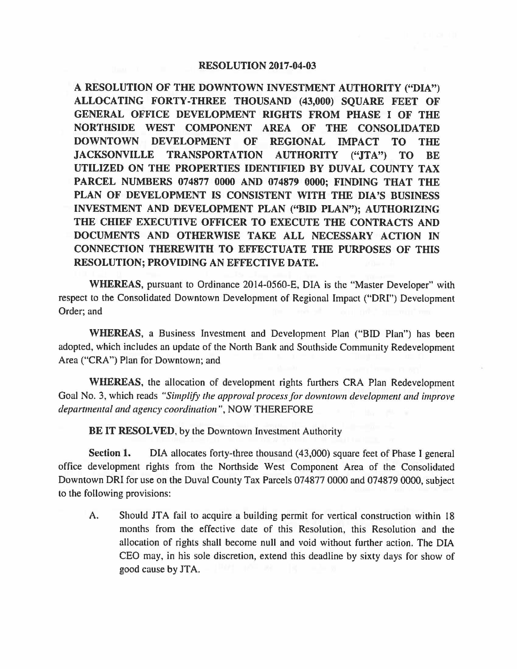## **RESOLUTION 2017-04-03**

**A RESOLUTION OF THE DOWNTOWN INVESTMENT AUTHORITY ("DIA") ALLOCATING FORTY-THREE THOUSAND (43,000) SQUARE FEET OF GENERAL OFFICE DEVELOPMENT RIGHTS FROM PHASE** I **OF THE NORTHSIDE WEST COMPONENT AREA OF THE CONSOLIDATED DOWNTOWN DEVELOPMENT OF REGIONAL IMPACT TO THE JACKSONVILLE TRANSPORTATION AUTHORITY ("JTA") TO BE UTILIZED ON THE PROPERTIES IDENTIFIED BY DUVAL COUNTY TAX PARCEL NUMBERS 074877 0000 AND 074879 0000; FINDING THAT THE PLAN OF DEVELOPMENT IS CONSISTENT WITH THE DIA 'S BUSINESS INVESTMENT AND DEVELOPMENT PLAN ("BID PLAN"); AUTHORIZING THE CHIEF EXECUTIVE OFFICER TO EXECUTE THE CONTRACTS AND DOCUMENTS AND OTHERWISE TAKE ALL NECESSARY ACTION IN CONNECTION THEREWITH TO EFFECTUATE THE PURPOSES OF THIS RESOLUTION; PROVIDING AN EFFECTIVE DATE.** 

**WHEREAS,** pursuant to Ordinance 2014-0560-E, DIA is the "Master Developer" with respect to the Consolidated Downtown Development of Regional Impact **("ORI")** Development Order; and

**WHEREAS,** a Business Investment and Development Plan ("BID Plan") has been adopted, which includes an update of the North Bank and Southside Community Redevelopment Area ("CRA") Plan for Downtown; and

**WHEREAS,** the allocation of development rights furthers CRA Plan Redevelopment Goal No. 3, which reads *"Simplify the approval process for downtown development and improve departmental and agency coordination",* NOW THEREFORE

**BE IT RESOLVED, by the Downtown Investment Authority** 

**Section 1.** DIA allocates forty-three thousand (43,000) square feet of Phase I general office development rights from the Northside West Component Area of the Consolidated Downtown DRI for use on the Duval County Tax Parcels 074877 0000 and 074879 0000, subject to the following provisions:

A. Should JTA fail to acquire a building permit for vertical construction within 18 months from the effective date of this Resolution, this Resolution and the allocation of rights shall become null and void without further action. The DIA CEO may, in his sole discretion, extend this deadline by sixty days for show of good cause by JTA.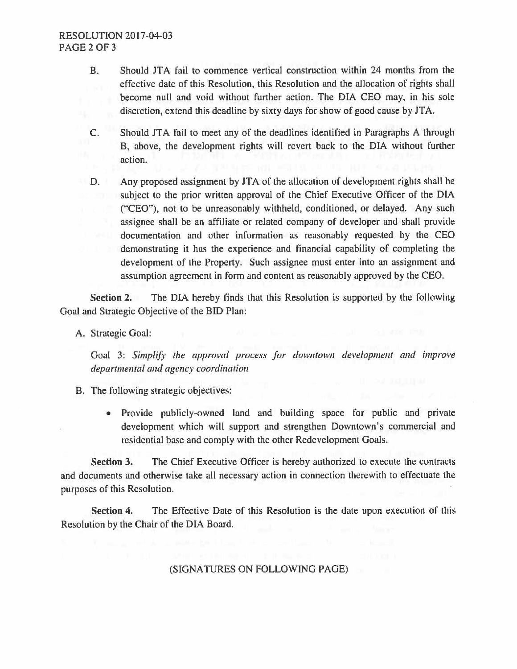## RESOLUTION 2017-04-03 PAGE2OF3

- B. Should JTA fail to commence vertical construction within 24 months from the effective date of this Resolution, this Resolution and the allocation of rights shall become null and void without further action. The DIA CEO may, in his sole discretion, extend this deadline by sixty days for show of good cause by JTA.
- C. Should JT A fail to meet any of the deadlines identified in Paragraphs A through B, above, the development rights will revert back to the DIA without further action.
- D. Any proposed assignment by JTA of the allocation of development rights shall be subject to the prior written approval of the Chief Executive Officer of the DIA ("CEO"), not to be unreasonably withheld, conditioned, or delayed. Any such assignee shall be an affiliate or related company of developer and shall provide documentation and other information as reasonably requested by the CEO demonstrating it has the experience and financial capability of completing the development of the Property. Such assignee must enter into an assignment and assumption agreement in form and content as reasonably approved by the CEO.

**Section 2.** The DIA hereby finds that this Resolution is supported by the following Goal and Strategic Objective of the BID Plan:

A. Strategic Goal:

Goal 3: Simplify the approval process for downtown development and improve *departmental and agency coordination* 

- B. The following strategic objectives:
	- Provide publicly-owned land and building space for public and private development which will support and strengthen Downtown's commercial and residential base and comply with the other Redevelopment Goals.

**Section 3.** The Chief Executive Officer is hereby authorized to execute the contracts and documents and otherwise take all necessary action in connection therewith to effectuate the purposes of this Resolution.

**Section 4.** The Effective Date of this Resolution is the date upon execution of this Resolution by the Chair of the DIA Board.

## (SIGNATURES ON FOLLOWING PAGE)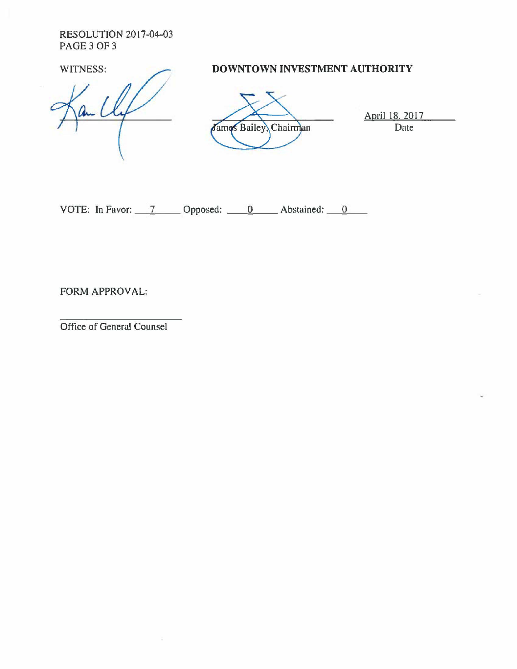RESOLUTION 2017-04-03 PAGE 3 OF 3

. L

WITNESS: **DOWNTOWN INVESTMENT AUTHORITY** 



April 18, 2017 Date

VOTE: In Favor:  $\frac{7}{2}$  Opposed:  $\frac{0}{2}$  Abstained:  $\frac{0}{2}$ 

FORM APPROVAL:

Office of General Counsel

÷